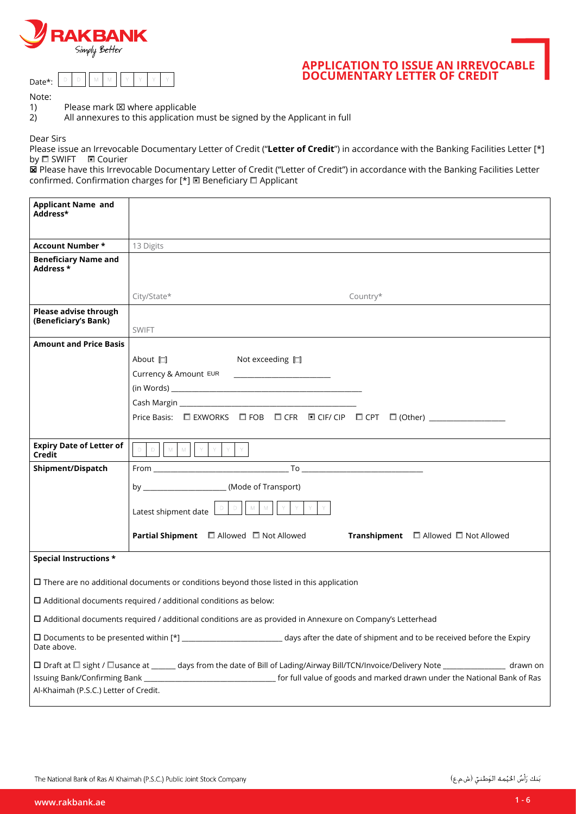



# **APPLICATION TO ISSUE AN IRREVOCABLE DOCUMENTARY LETTER OF CREDIT**

Note:

1) Please mark  $\boxtimes$  where applicable

2) All annexures to this application must be signed by the Applicant in full

Dear Sirs

Please issue an Irrevocable Documentary Letter of Credit ("Letter of Credit") in accordance with the Banking Facilities Letter [\*] by **O SWIFT O** Courier

DE Please have this Irrevocable Documentary Letter of Credit ("Letter of Credit") in accordance with the Banking Facilities Letter confirmed. Confirmation charges for [\*]  $\Box$  Beneficiary  $\Box$  Applicant

| <b>Applicant Name and</b><br>Address*                                                                                                                                             |                                                                                                                                         |  |  |  |  |  |  |
|-----------------------------------------------------------------------------------------------------------------------------------------------------------------------------------|-----------------------------------------------------------------------------------------------------------------------------------------|--|--|--|--|--|--|
| <b>Account Number *</b>                                                                                                                                                           | 13 Digits                                                                                                                               |  |  |  |  |  |  |
| <b>Beneficiary Name and</b><br>Address *                                                                                                                                          |                                                                                                                                         |  |  |  |  |  |  |
|                                                                                                                                                                                   | City/State*<br>Country*                                                                                                                 |  |  |  |  |  |  |
| Please advise through<br>(Beneficiary's Bank)                                                                                                                                     | <b>SWIFT</b>                                                                                                                            |  |  |  |  |  |  |
| <b>Amount and Price Basis</b>                                                                                                                                                     |                                                                                                                                         |  |  |  |  |  |  |
|                                                                                                                                                                                   | About <u>口</u><br>Not exceeding $\Box$                                                                                                  |  |  |  |  |  |  |
|                                                                                                                                                                                   | Currency & Amount EUR                                                                                                                   |  |  |  |  |  |  |
|                                                                                                                                                                                   |                                                                                                                                         |  |  |  |  |  |  |
|                                                                                                                                                                                   |                                                                                                                                         |  |  |  |  |  |  |
|                                                                                                                                                                                   | Price Basis: □ EXWORKS □ FOB □ CFR □ CIF/ CIP □ CPT □ (Other) _________________                                                         |  |  |  |  |  |  |
| <b>Expiry Date of Letter of</b><br>Credit                                                                                                                                         | $\mathbb{M}$ , $\mathbb{M}$<br>$\langle \nabla \cdot$<br>$\mathbb D$<br>$\mathbb{D}^-$<br>$\mathcal{N}$<br>$\mathsf{Y}$<br>$\mathbf{Y}$ |  |  |  |  |  |  |
| Shipment/Dispatch                                                                                                                                                                 |                                                                                                                                         |  |  |  |  |  |  |
|                                                                                                                                                                                   | by (Mode of Transport)                                                                                                                  |  |  |  |  |  |  |
|                                                                                                                                                                                   | M<br>${\mathbb M}$<br>$\Box$<br>Latest shipment date                                                                                    |  |  |  |  |  |  |
|                                                                                                                                                                                   | <b>Partial Shipment</b> $\Box$ Allowed $\Box$ Not Allowed<br><b>Transhipment</b> $\Box$ Allowed $\Box$ Not Allowed                      |  |  |  |  |  |  |
| Special Instructions *                                                                                                                                                            |                                                                                                                                         |  |  |  |  |  |  |
| $\Box$ There are no additional documents or conditions beyond those listed in this application                                                                                    |                                                                                                                                         |  |  |  |  |  |  |
| $\Box$ Additional documents required / additional conditions as below:                                                                                                            |                                                                                                                                         |  |  |  |  |  |  |
| $\Box$ Additional documents required / additional conditions are as provided in Annexure on Company's Letterhead                                                                  |                                                                                                                                         |  |  |  |  |  |  |
| Date above.                                                                                                                                                                       |                                                                                                                                         |  |  |  |  |  |  |
| □ Draft at □ sight / □usance at _____ days from the date of Bill of Lading/Airway Bill/TCN/Invoice/Delivery Note ______________ drawn on<br>Al-Khaimah (P.S.C.) Letter of Credit. |                                                                                                                                         |  |  |  |  |  |  |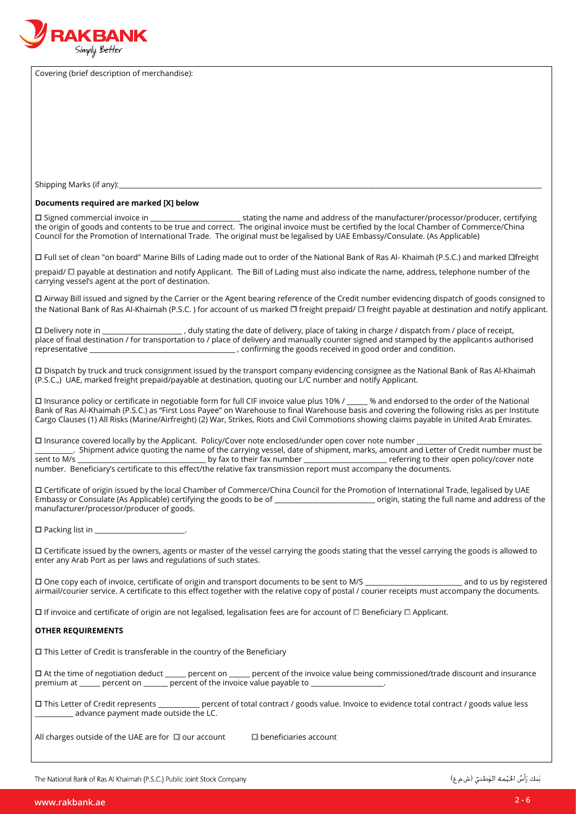

Covering (brief description of merchandise):

Shipping Marks (if any):

#### **Documents required are marked [X] below**

 $\square$  Signed commercial invoice in  $\square$  and address of the manufacturer/processor/producer, certifying the origin of goods and contents to be true and correct. The original invoice must be certified by the local Chamber of Commerce/China Council for the Promotion of International Trade. The original must be legalised by UAE Embassy/Consulate. (As Applicable)

 $\Box$  Full set of clean "on board" Marine Bills of Lading made out to order of the National Bank of Ras Al- Khaimah (P.S.C.) and marked  $\Box$ freight

prepaid/  $\Box$  payable at destination and notify Applicant. The Bill of Lading must also indicate the name, address, telephone number of the carrying vessel's agent at the port of destination.

 $\Box$  Airway Bill issued and signed by the Carrier or the Agent bearing reference of the Credit number evidencing dispatch of goods consigned to the National Bank of Ras Al-Khaimah (P.S.C.) for account of us marked  $\Box$  freight prepaid/  $\Box$  freight payable at destination and notify applicant.

□ Delivery note in \_\_\_\_\_\_\_\_\_\_\_\_\_\_\_\_\_\_\_\_\_\_\_, duly stating the date of delivery, place of taking in charge / dispatch from / place of receipt, place of final destination / for transportation to / place of delivery and manually counter signed and stamped by the applicant sauthorised .condition and order good in received goods the confirming , \_\_\_\_\_\_\_\_\_\_\_\_\_\_\_\_\_\_\_\_\_\_\_\_\_\_\_\_\_\_\_\_\_\_\_\_\_\_\_\_\_\_ representative

 $\Box$  Dispatch by truck and truck consignment issued by the transport company evidencing consignee as the National Bank of Ras Al-Khaimah (P.S.C.,) UAE, marked freight prepaid/payable at destination, quoting our L/C number and notify Applicant.

 $\square$  Insurance policy or certificate in negotiable form for full CIF invoice value plus 10% /  $\blacksquare$  % and endorsed to the order of the National Bank of Ras Al-Khaimah (P.S.C.) as "First Loss Payee" on Warehouse to final Warehouse basis and covering the following risks as per Institute Cargo Clauses (1) All Risks (Marine/Airfreight) (2) War, Strikes, Riots and Civil Commotions showing claims payable in United Arab Emirates.

 $\square$  Insurance covered locally by the Applicant. Policy/Cover note enclosed/under open cover note number

be fart in mether and alter of Credit number must be sent to M/s.<br>by fax to their fax number<br>referring to their open policy/cover note by fax to their fax number \_\_\_\_\_\_\_\_\_\_\_\_\_\_\_\_\_\_\_\_\_\_\_\_\_ referring to their open policy/cover note number. Beneficiary's certificate to this effect/the relative fax transmission report must accompany the documents.

□ Certificate of origin issued by the local Chamber of Commerce/China Council for the Promotion of International Trade, legalised by UAE Embassy or Consulate (As Applicable) certifying the goods to be of example of and position origin, stating the full name and address of the manufacturer/processor/producer of goods.

 $\square$  Packing list in  $\square$ 

 $\Box$  Certificate issued by the owners, agents or master of the vessel carrying the goods stating that the vessel carrying the goods is allowed to enter any Arab Port as per laws and regulations of such states.

□ One copy each of invoice, certificate of origin and transport documents to be sent to M/S and to us by registered airmail/courier service. A certificate to this effect together with the relative copy of postal / courier receipts must accompany the documents.

 $\Box$  If invoice and certificate of origin are not legalised, legalisation fees are for account of  $\Box$  Beneficiary  $\Box$  Applicant.

### *<u>OTHER REQUIREMENTS</u>*

 $\square$  This Letter of Credit is transferable in the country of the Beneficiary

 $\Box$  At the time of negotiation deduct \_\_\_\_\_\_ percent on \_\_\_\_\_ percent of the invoice value being commissioned/trade discount and insurance premium at \_\_\_\_\_\_ percent on \_\_\_\_\_\_ percent of the invoice value payable to \_

 $\square$  This Letter of Credit represents \_\_\_\_\_\_\_\_\_\_\_ percent of total contract / goods value. Invoice to evidence total contract / goods value less \_ advance payment made outside the LC.

All charges outside of the UAE are for  $\Box$  our account  $\Box$  beneficiaries account

The National Bank of Ras Al Khaimah (P.S.C.) Public Joint Stock Company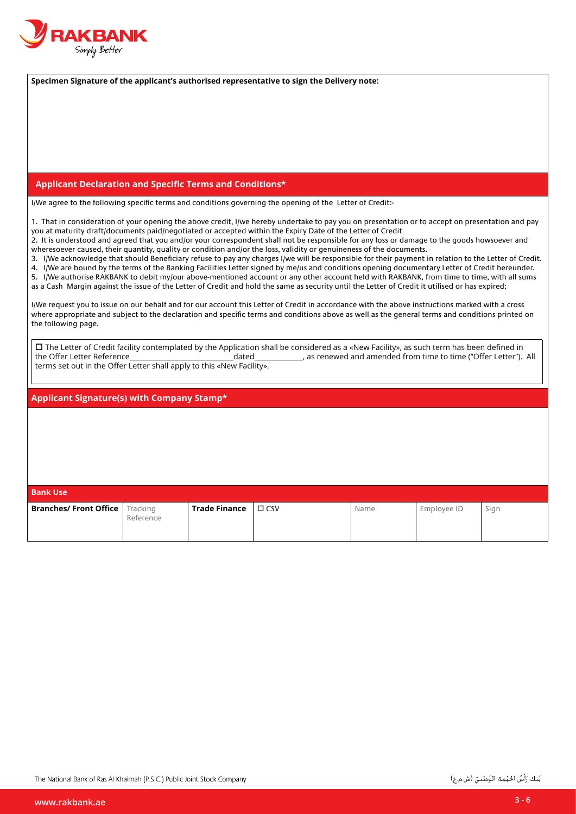

Specimen Signature of the applicant's authorised representative to sign the Delivery note:

#### **Applicant Declaration and Specific Terms and Conditions\***

I/We agree to the following specific terms and conditions governing the opening of the Letter of Credit:-

1. That in consideration of your opening the above credit, I/we hereby undertake to pay you on presentation or to accept on presentation and pay you at maturity draft/documents paid/negotiated or accepted within the Expiry Date of the Letter of Credit

2. It is understood and agreed that you and/or your correspondent shall not be responsible for any loss or damage to the goods howsoever and wheresoever caused, their quantity, quality or condition and/or the loss, validity or genuineness of the documents.

3. I/We acknowledge that should Beneficiary refuse to pay any charges I/we will be responsible for their payment in relation to the Letter of Credit. 4. I/We are bound by the terms of the Banking Facilities Letter signed by me/us and conditions opening documentary Letter of Credit hereunder. 5. I/We authorise RAKBANK to debit my/our above-mentioned account or any other account held with RAKBANK, from time to time, with all sums as a Cash Margin against the issue of the Letter of Credit and hold the same as security until the Letter of Credit it utilised or has expired;

I/We request vou to issue on our behalf and for our account this Letter of Credit in accordance with the above instructions marked with a cross where appropriate and subject to the declaration and specific terms and conditions above as well as the general terms and conditions printed on the following page.

 $\Box$  The Letter of Credit facility contemplated by the Application shall be considered as a «New Facility», as such term has been defined in All .")Letter Offer ("time to time from amended and renewed as ,\_\_\_\_\_\_\_\_\_\_\_\_\_\_dated\_\_\_\_\_\_\_\_\_\_\_\_\_\_\_\_\_\_\_\_\_\_\_\_\_\_\_\_\_\_Reference Letter Offer the terms set out in the Offer Letter shall apply to this «New Facility».

#### Applicant Signature(s) with Company Stamp\*

| <b>Bank Use</b>                          |           |               |               |      |             |      |  |  |
|------------------------------------------|-----------|---------------|---------------|------|-------------|------|--|--|
| <b>Branches/ Front Office</b>   Tracking | Reference | Trade Finance | $\square$ CSV | Name | Employee ID | Sign |  |  |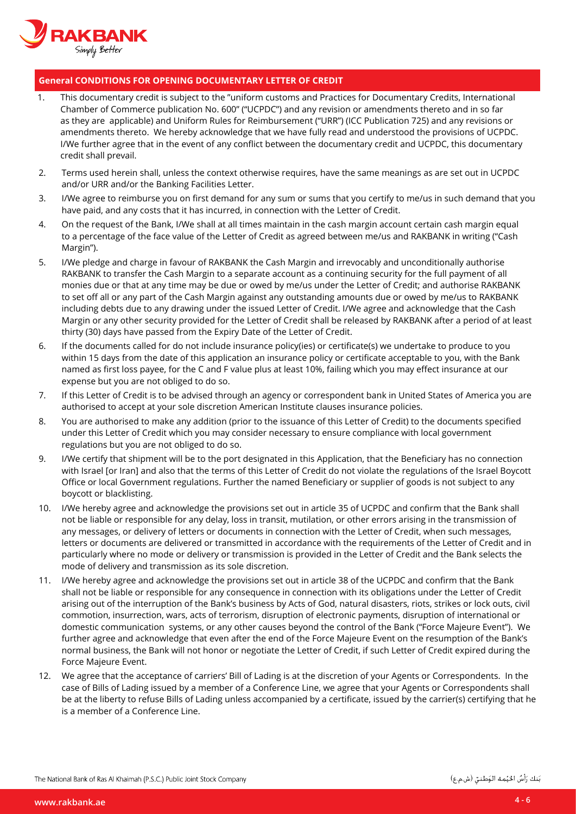

## **General CONDITIONS FOR OPENING DOCUMENTARY LETTER OF CREDIT**

- 1. This documentary credit is subject to the "uniform customs and Practices for Documentary Credits, International Chamber of Commerce publication No. 600" ("UCPDC") and any revision or amendments thereto and in so far as they are applicable) and Uniform Rules for Reimbursement ("URR") (ICC Publication 725) and any revisions or amendments thereto. We hereby acknowledge that we have fully read and understood the provisions of UCPDC. I/We further agree that in the event of any conflict between the documentary credit and UCPDC, this documentary credit shall prevail.
- 2. Terms used herein shall, unless the context otherwise requires, have the same meanings as are set out in UCPDC and/or URR and/or the Banking Facilities Letter.
- 3. I/We agree to reimburse you on first demand for any sum or sums that you certify to me/us in such demand that you have paid, and any costs that it has incurred, in connection with the Letter of Credit.
- 4. On the request of the Bank, I/We shall at all times maintain in the cash margin account certain cash margin equal to a percentage of the face value of the Letter of Credit as agreed between me/us and RAKBANK in writing ("Cash Margin").
- 5. I/We pledge and charge in favour of RAKBANK the Cash Margin and irrevocably and unconditionally authorise RAKBANK to transfer the Cash Margin to a separate account as a continuing security for the full payment of all monies due or that at any time may be due or owed by me/us under the Letter of Credit; and authorise RAKBANK to set off all or any part of the Cash Margin against any outstanding amounts due or owed by me/us to RAKBANK including debts due to any drawing under the issued Letter of Credit. I/We agree and acknowledge that the Cash Margin or any other security provided for the Letter of Credit shall be released by RAKBANK after a period of at least thirty (30) days have passed from the Expiry Date of the Letter of Credit.
- 6. If the documents called for do not include insurance policy(ies) or certificate(s) we undertake to produce to you within 15 days from the date of this application an insurance policy or certificate acceptable to you, with the Bank named as first loss payee, for the C and F value plus at least 10%, failing which you may effect insurance at our expense but you are not obliged to do so.
- 7. If this Letter of Credit is to be advised through an agency or correspondent bank in United States of America you are authorised to accept at your sole discretion American Institute clauses insurance policies.
- 8. You are authorised to make any addition (prior to the issuance of this Letter of Credit) to the documents specified under this Letter of Credit which you may consider necessary to ensure compliance with local government regulations but you are not obliged to do so.
- 9. I/We certify that shipment will be to the port designated in this Application, that the Beneficiary has no connection with Israel [or Iran] and also that the terms of this Letter of Credit do not violate the regulations of the Israel Boycott Office or local Government regulations. Further the named Beneficiary or supplier of goods is not subject to any boycott or blacklisting.
- 10. I/We hereby agree and acknowledge the provisions set out in article 35 of UCPDC and confirm that the Bank shall not be liable or responsible for any delay, loss in transit, mutilation, or other errors arising in the transmission of any messages, or delivery of letters or documents in connection with the Letter of Credit, when such messages, letters or documents are delivered or transmitted in accordance with the requirements of the Letter of Credit and in particularly where no mode or delivery or transmission is provided in the Letter of Credit and the Bank selects the mode of delivery and transmission as its sole discretion.
- 11. I/We hereby agree and acknowledge the provisions set out in article 38 of the UCPDC and confirm that the Bank shall not be liable or responsible for any consequence in connection with its obligations under the Letter of Credit arising out of the interruption of the Bank's business by Acts of God, natural disasters, riots, strikes or lock outs, civil commotion, insurrection, wars, acts of terrorism, disruption of electronic payments, disruption of international or domestic communication systems, or any other causes beyond the control of the Bank ("Force Majeure Event"). We further agree and acknowledge that even after the end of the Force Majeure Event on the resumption of the Bank's normal business, the Bank will not honor or negotiate the Letter of Credit, if such Letter of Credit expired during the Force Majeure Event.
- 12. We agree that the acceptance of carriers' Bill of Lading is at the discretion of your Agents or Correspondents. In the case of Bills of Lading issued by a member of a Conference Line, we agree that your Agents or Correspondents shall be at the liberty to refuse Bills of Lading unless accompanied by a certificate, issued by the carrier(s) certifying that he is a member of a Conference Line.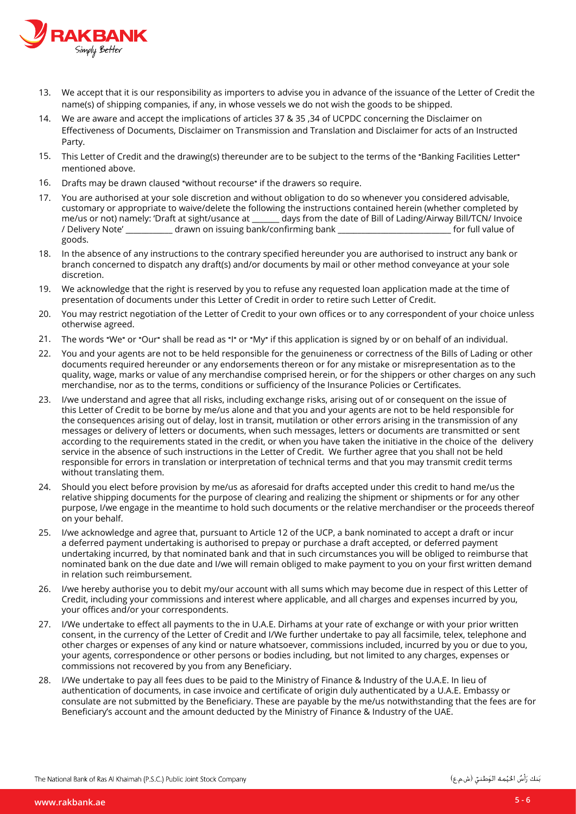

- 13. We accept that it is our responsibility as importers to advise you in advance of the issuance of the Letter of Credit the name(s) of shipping companies, if any, in whose vessels we do not wish the goods to be shipped.
- 14. We are aware and accept the implications of articles 37 & 35,34 of UCPDC concerning the Disclaimer on Effectiveness of Documents, Disclaimer on Transmission and Translation and Disclaimer for acts of an Instructed Party.
- 15. This Letter of Credit and the drawing(s) thereunder are to be subject to the terms of the "Banking Facilities Letter" mentioned above.
- 16. Drafts may be drawn claused "without recourse" if the drawers so require.
- 17. You are authorised at your sole discretion and without obligation to do so whenever you considered advisable, customary or appropriate to waive/delete the following the instructions contained herein (whether completed by<br>me/us or not) namely: 'Draft at sight/usance at days from the date of Bill of Lading/Airway Bill/TCN/ Invoice Invoice /TCN/Bill Airway/Lading of Bill of date the from days \_\_\_\_\_\_\_ at usance/sight at Draft ':namely) not or us/me / Delivery Note' \_\_\_\_\_\_\_\_\_\_\_\_\_\_\_ drawn on issuing bank/confirming bank .goods
- 18. In the absence of any instructions to the contrary specified hereunder you are authorised to instruct any bank or branch concerned to dispatch any draft(s) and/or documents by mail or other method conveyance at your sole discretion.
- 19. We acknowledge that the right is reserved by you to refuse any requested loan application made at the time of presentation of documents under this Letter of Credit in order to retire such Letter of Credit.
- 20. You may restrict negotiation of the Letter of Credit to your own offices or to any correspondent of your choice unless otherwise agreed.
- .individual an of behalf on or by signed is application this if**"** My **"**or**"** I **"**as read be shall**"** Our **"**or**"** We **"**words The 21.
- 22. You and your agents are not to be held responsible for the genuineness or correctness of the Bills of Lading or other documents required hereunder or any endorsements thereon or for any mistake or misrepresentation as to the quality, wage, marks or value of any merchandise comprised herein, or for the shippers or other charges on any such merchandise, nor as to the terms, conditions or sufficiency of the Insurance Policies or Certificates.
- 23. I/we understand and agree that all risks, including exchange risks, arising out of or consequent on the issue of this Letter of Credit to be borne by me/us alone and that you and your agents are not to be held responsible for the consequences arising out of delay, lost in transit, mutilation or other errors arising in the transmission of any messages or delivery of letters or documents, when such messages, letters or documents are transmitted or sent according to the requirements stated in the credit, or when you have taken the initiative in the choice of the delivery service in the absence of such instructions in the Letter of Credit. We further agree that you shall not be held responsible for errors in translation or interpretation of technical terms and that you may transmit credit terms without translating them.
- 24. Should you elect before provision by me/us as aforesaid for drafts accepted under this credit to hand me/us the relative shipping documents for the purpose of clearing and realizing the shipment or shipments or for any other purpose, I/we engage in the meantime to hold such documents or the relative merchandiser or the proceeds thereof on your behalf.
- 25. I/we acknowledge and agree that, pursuant to Article 12 of the UCP, a bank nominated to accept a draft or incur a deferred payment undertaking is authorised to prepay or purchase a draft accepted, or deferred payment undertaking incurred, by that nominated bank and that in such circumstances you will be obliged to reimburse that nominated bank on the due date and I/we will remain obliged to make payment to you on your first written demand in relation such reimbursement.
- 26. I/we hereby authorise you to debit my/our account with all sums which may become due in respect of this Letter of Credit, including your commissions and interest where applicable, and all charges and expenses incurred by you, your offices and/or your correspondents.
- 27. I/We undertake to effect all payments to the in U.A.E. Dirhams at your rate of exchange or with your prior written consent, in the currency of the Letter of Credit and I/We further undertake to pay all facsimile, telex, telephone and other charges or expenses of any kind or nature whatsoever, commissions included, incurred by you or due to you, your agents, correspondence or other persons or bodies including, but not limited to any charges, expenses or commissions not recovered by you from any Beneficiary.
- 28. I/We undertake to pay all fees dues to be paid to the Ministry of Finance & Industry of the U.A.E. In lieu of authentication of documents, in case invoice and certificate of origin duly authenticated by a U.A.E. Embassy or consulate are not submitted by the Beneficiary. These are payable by the me/us notwithstanding that the fees are for Beneficiary's account and the amount deducted by the Ministry of Finance & Industry of the UAE.